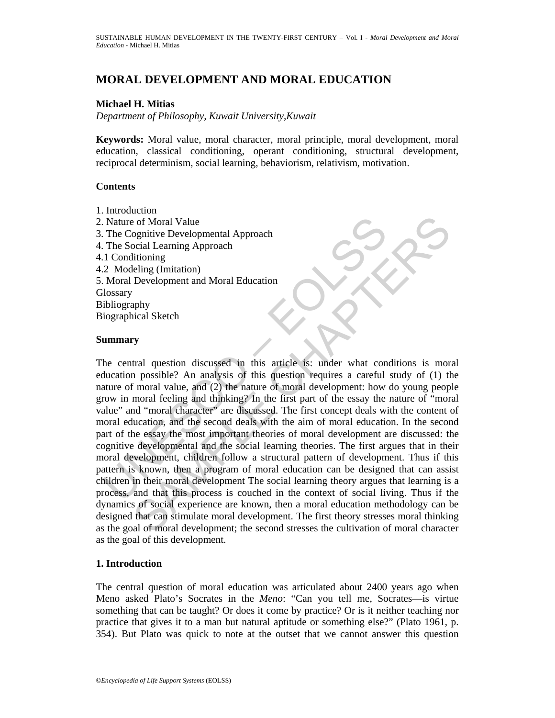# **MORAL DEVELOPMENT AND MORAL EDUCATION**

### **Michael H. Mitias**

*Department of Philosophy, Kuwait University,Kuwait* 

**Keywords:** Moral value, moral character, moral principle, moral development, moral education, classical conditioning, operant conditioning, structural development, reciprocal determinism, social learning, behaviorism, relativism, motivation.

### **Contents**

- 1. Introduction
- 2. Nature of Moral Value 3. The Cognitive Developmental Approach 4. The Social Learning Approach 4.1 Conditioning 4.2 Modeling (Imitation) 5. Moral Development and Moral Education **Glossary** Bibliography Biographical Sketch

#### **Summary**

Nature of Moral Value<br>
1. The Cognitive Developmental Approach<br>
1.1 Conditioning<br>
1.1 Conditioning<br>
2. Modeling (Imitation)<br>
2. Modeling (Imitation)<br>
Moral Development and Moral Education<br>
Moral Development and Moral Educa Control Value<br>
Control Value<br>
Cocial Learning Approach<br>
Cocial Learning Approach<br>
Cocial Learning Approach<br>
Cocial Learning Approach<br>
Cocial Character<br>
(In this article is: under what conditions is more possible? An analys The central question discussed in this article is: under what conditions is moral education possible? An analysis of this question requires a careful study of (1) the nature of moral value, and (2) the nature of moral development: how do young people grow in moral feeling and thinking? In the first part of the essay the nature of "moral value" and "moral character" are discussed. The first concept deals with the content of moral education, and the second deals with the aim of moral education. In the second part of the essay the most important theories of moral development are discussed: the cognitive developmental and the social learning theories. The first argues that in their moral development, children follow a structural pattern of development. Thus if this pattern is known, then a program of moral education can be designed that can assist children in their moral development The social learning theory argues that learning is a process, and that this process is couched in the context of social living. Thus if the dynamics of social experience are known, then a moral education methodology can be designed that can stimulate moral development. The first theory stresses moral thinking as the goal of moral development; the second stresses the cultivation of moral character as the goal of this development.

### **1. Introduction**

The central question of moral education was articulated about 2400 years ago when Meno asked Plato's Socrates in the *Meno*: "Can you tell me, Socrates—is virtue something that can be taught? Or does it come by practice? Or is it neither teaching nor practice that gives it to a man but natural aptitude or something else?" (Plato 1961, p. 354). But Plato was quick to note at the outset that we cannot answer this question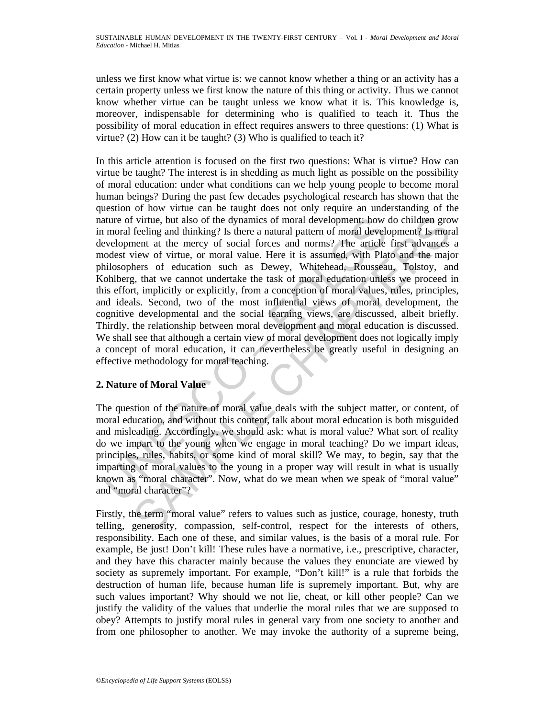unless we first know what virtue is: we cannot know whether a thing or an activity has a certain property unless we first know the nature of this thing or activity. Thus we cannot know whether virtue can be taught unless we know what it is. This knowledge is, moreover, indispensable for determining who is qualified to teach it. Thus the possibility of moral education in effect requires answers to three questions: (1) What is virtue? (2) How can it be taught? (3) Who is qualified to teach it?

ature of virtue, but also of the dynamics of moral development: how<br>moral feeling and thinking? Is there a natural pattern of moral develoce<br>evelopment at the mercy of social forces and norms? The article<br>codest view of vi virtue, but also of the dynamics of moral development: how do children gro<br>fecting and thinking? Is there a natural pattern of moral development? Is more<br>nent at the mercy of social forces and norms? The article first adva In this article attention is focused on the first two questions: What is virtue? How can virtue be taught? The interest is in shedding as much light as possible on the possibility of moral education: under what conditions can we help young people to become moral human beings? During the past few decades psychological research has shown that the question of how virtue can be taught does not only require an understanding of the nature of virtue, but also of the dynamics of moral development: how do children grow in moral feeling and thinking? Is there a natural pattern of moral development? Is moral development at the mercy of social forces and norms? The article first advances a modest view of virtue, or moral value. Here it is assumed, with Plato and the major philosophers of education such as Dewey, Whitehead, Rousseau, Tolstoy, and Kohlberg, that we cannot undertake the task of moral education unless we proceed in this effort, implicitly or explicitly, from a conception of moral values, rules, principles, and ideals. Second, two of the most influential views of moral development, the cognitive developmental and the social learning views, are discussed, albeit briefly. Thirdly, the relationship between moral development and moral education is discussed. We shall see that although a certain view of moral development does not logically imply a concept of moral education, it can nevertheless be greatly useful in designing an effective methodology for moral teaching.

## **2. Nature of Moral Value**

The question of the nature of moral value deals with the subject matter, or content, of moral education, and without this content, talk about moral education is both misguided and misleading. Accordingly, we should ask: what is moral value? What sort of reality do we impart to the young when we engage in moral teaching? Do we impart ideas, principles, rules, habits, or some kind of moral skill? We may, to begin, say that the imparting of moral values to the young in a proper way will result in what is usually known as "moral character". Now, what do we mean when we speak of "moral value" and "moral character"?

Firstly, the term "moral value" refers to values such as justice, courage, honesty, truth telling, generosity, compassion, self-control, respect for the interests of others, responsibility. Each one of these, and similar values, is the basis of a moral rule. For example, Be just! Don't kill! These rules have a normative, i.e., prescriptive, character, and they have this character mainly because the values they enunciate are viewed by society as supremely important. For example, "Don't kill!" is a rule that forbids the destruction of human life, because human life is supremely important. But, why are such values important? Why should we not lie, cheat, or kill other people? Can we justify the validity of the values that underlie the moral rules that we are supposed to obey? Attempts to justify moral rules in general vary from one society to another and from one philosopher to another. We may invoke the authority of a supreme being,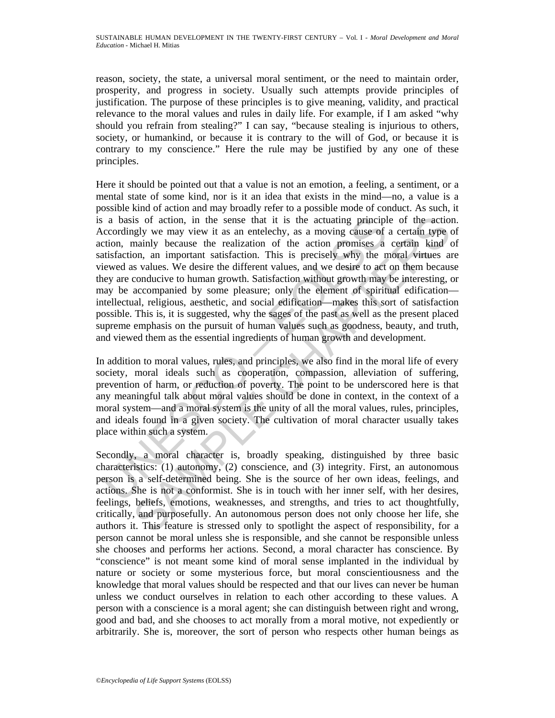reason, society, the state, a universal moral sentiment, or the need to maintain order, prosperity, and progress in society. Usually such attempts provide principles of justification. The purpose of these principles is to give meaning, validity, and practical relevance to the moral values and rules in daily life. For example, if I am asked "why should you refrain from stealing?" I can say, "because stealing is injurious to others, society, or humankind, or because it is contrary to the will of God, or because it is contrary to my conscience." Here the rule may be justified by any one of these principles.

a basis of action, in the sense that it is the actuating principl<br>ccordingly we may view it as an entellecty, as a moving cause of<br>titischor, mainly because the realization of the action promises a<br>tuisfaction, an importan is of action, in the sense that it is the actuating principle of the action<br>glyly we may view it as an entellectly, as a moving cause of a certain type<br>example because the realization of the action promises a certain kind<br> Here it should be pointed out that a value is not an emotion, a feeling, a sentiment, or a mental state of some kind, nor is it an idea that exists in the mind—no, a value is a possible kind of action and may broadly refer to a possible mode of conduct. As such, it is a basis of action, in the sense that it is the actuating principle of the action. Accordingly we may view it as an entelechy, as a moving cause of a certain type of action, mainly because the realization of the action promises a certain kind of satisfaction, an important satisfaction. This is precisely why the moral virtues are viewed as values. We desire the different values, and we desire to act on them because they are conducive to human growth. Satisfaction without growth may be interesting, or may be accompanied by some pleasure; only the element of spiritual edification intellectual, religious, aesthetic, and social edification—makes this sort of satisfaction possible. This is, it is suggested, why the sages of the past as well as the present placed supreme emphasis on the pursuit of human values such as goodness, beauty, and truth, and viewed them as the essential ingredients of human growth and development.

In addition to moral values, rules, and principles, we also find in the moral life of every society, moral ideals such as cooperation, compassion, alleviation of suffering, prevention of harm, or reduction of poverty. The point to be underscored here is that any meaningful talk about moral values should be done in context, in the context of a moral system—and a moral system is the unity of all the moral values, rules, principles, and ideals found in a given society. The cultivation of moral character usually takes place within such a system.

Secondly, a moral character is, broadly speaking, distinguished by three basic characteristics: (1) autonomy, (2) conscience, and (3) integrity. First, an autonomous person is a self-determined being. She is the source of her own ideas, feelings, and actions. She is not a conformist. She is in touch with her inner self, with her desires, feelings, beliefs, emotions, weaknesses, and strengths, and tries to act thoughtfully, critically, and purposefully. An autonomous person does not only choose her life, she authors it. This feature is stressed only to spotlight the aspect of responsibility, for a person cannot be moral unless she is responsible, and she cannot be responsible unless she chooses and performs her actions. Second, a moral character has conscience. By "conscience" is not meant some kind of moral sense implanted in the individual by nature or society or some mysterious force, but moral conscientiousness and the knowledge that moral values should be respected and that our lives can never be human unless we conduct ourselves in relation to each other according to these values. A person with a conscience is a moral agent; she can distinguish between right and wrong, good and bad, and she chooses to act morally from a moral motive, not expediently or arbitrarily. She is, moreover, the sort of person who respects other human beings as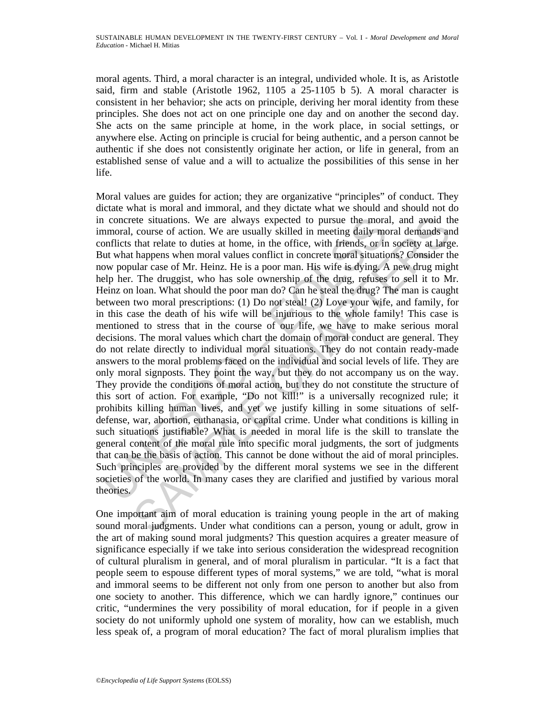moral agents. Third, a moral character is an integral, undivided whole. It is, as Aristotle said, firm and stable (Aristotle 1962, 1105 a 25-1105 b 5). A moral character is consistent in her behavior; she acts on principle, deriving her moral identity from these principles. She does not act on one principle one day and on another the second day. She acts on the same principle at home, in the work place, in social settings, or anywhere else. Acting on principle is crucial for being authentic, and a person cannot be authentic if she does not consistently originate her action, or life in general, from an established sense of value and a will to actualize the possibilities of this sense in her life.

a concrete situations. We are always expected to pursue the moral mornarial, course of action. We are usually skilled in meeting daily mornflicts that relate to duties at home, in the office, with friends, or in the outies ete situations. We are always expected to pursue the moral, and avoid the course of action. We are usually skilled in meeting daily moral demands an the tratat to duties at home, in the office, with friends, or in society Moral values are guides for action; they are organizative "principles" of conduct. They dictate what is moral and immoral, and they dictate what we should and should not do in concrete situations. We are always expected to pursue the moral, and avoid the immoral, course of action. We are usually skilled in meeting daily moral demands and conflicts that relate to duties at home, in the office, with friends, or in society at large. But what happens when moral values conflict in concrete moral situations? Consider the now popular case of Mr. Heinz. He is a poor man. His wife is dying. A new drug might help her. The druggist, who has sole ownership of the drug, refuses to sell it to Mr. Heinz on loan. What should the poor man do? Can he steal the drug? The man is caught between two moral prescriptions: (1) Do not steal! (2) Love your wife, and family, for in this case the death of his wife will be injurious to the whole family! This case is mentioned to stress that in the course of our life, we have to make serious moral decisions. The moral values which chart the domain of moral conduct are general. They do not relate directly to individual moral situations. They do not contain ready-made answers to the moral problems faced on the individual and social levels of life. They are only moral signposts. They point the way, but they do not accompany us on the way. They provide the conditions of moral action, but they do not constitute the structure of this sort of action. For example, "Do not kill!" is a universally recognized rule; it prohibits killing human lives, and yet we justify killing in some situations of selfdefense, war, abortion, euthanasia, or capital crime. Under what conditions is killing in such situations justifiable? What is needed in moral life is the skill to translate the general content of the moral rule into specific moral judgments, the sort of judgments that can be the basis of action. This cannot be done without the aid of moral principles. Such principles are provided by the different moral systems we see in the different societies of the world. In many cases they are clarified and justified by various moral theories.

One important aim of moral education is training young people in the art of making sound moral judgments. Under what conditions can a person, young or adult, grow in the art of making sound moral judgments? This question acquires a greater measure of significance especially if we take into serious consideration the widespread recognition of cultural pluralism in general, and of moral pluralism in particular. "It is a fact that people seem to espouse different types of moral systems," we are told, "what is moral and immoral seems to be different not only from one person to another but also from one society to another. This difference, which we can hardly ignore," continues our critic, "undermines the very possibility of moral education, for if people in a given society do not uniformly uphold one system of morality, how can we establish, much less speak of, a program of moral education? The fact of moral pluralism implies that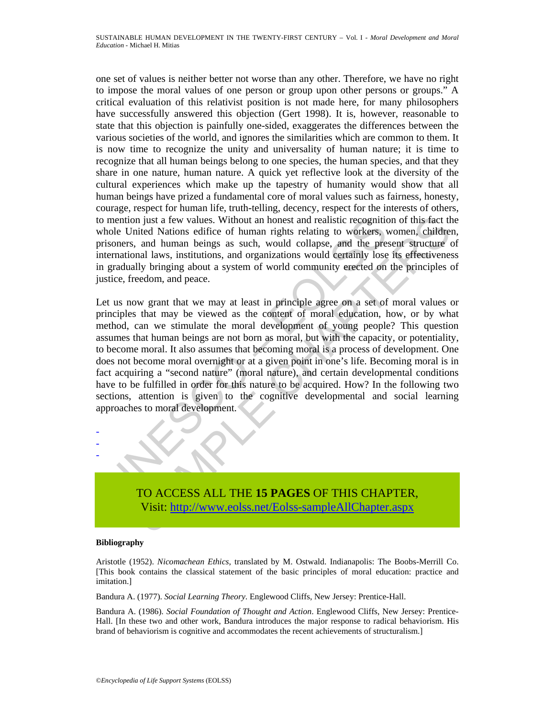one set of values is neither better not worse than any other. Therefore, we have no right to impose the moral values of one person or group upon other persons or groups." A critical evaluation of this relativist position is not made here, for many philosophers have successfully answered this objection (Gert 1998). It is, however, reasonable to state that this objection is painfully one-sided, exaggerates the differences between the various societies of the world, and ignores the similarities which are common to them. It is now time to recognize the unity and universality of human nature; it is time to recognize that all human beings belong to one species, the human species, and that they share in one nature, human nature. A quick yet reflective look at the diversity of the cultural experiences which make up the tapestry of humanity would show that all human beings have prized a fundamental core of moral values such as fairness, honesty, courage, respect for human life, truth-telling, decency, respect for the interests of others, to mention just a few values. Without an honest and realistic recognition of this fact the whole United Nations edifice of human rights relating to workers, women, children, prisoners, and human beings as such, would collapse, and the present structure of international laws, institutions, and organizations would certainly lose its effectiveness in gradually bringing about a system of world community erected on the principles of justice, freedom, and peace.

mention just a few values. Without an honest and realistic recognitic<br>thole United Nations edifice of human rights relating to workers,<br>risoners, and human beings as such, would collapse, and the pre-<br>iternational laws, in Inited Nations edifice of human rights redained modes and realistic recognition of this fact the nited Nations edifice of human hey redained Nations comes children is chained have, in and human beings as such, would collap Let us now grant that we may at least in principle agree on a set of moral values or principles that may be viewed as the content of moral education, how, or by what method, can we stimulate the moral development of young people? This question assumes that human beings are not born as moral, but with the capacity, or potentiality, to become moral. It also assumes that becoming moral is a process of development. One does not become moral overnight or at a given point in one's life. Becoming moral is in fact acquiring a "second nature" (moral nature), and certain developmental conditions have to be fulfilled in order for this nature to be acquired. How? In the following two sections, attention is given to the cognitive developmental and social learning approaches to moral development.



#### **Bibliography**

- - -

Aristotle (1952). *Nicomachean Ethics*, translated by M. Ostwald. Indianapolis: The Boobs-Merrill Co. [This book contains the classical statement of the basic principles of moral education: practice and imitation.]

Bandura A. (1977). *Social Learning Theory*. Englewood Cliffs, New Jersey: Prentice-Hall.

Bandura A. (1986). *Social Foundation of Thought and Action*. Englewood Cliffs, New Jersey: Prentice-Hall. [In these two and other work, Bandura introduces the major response to radical behaviorism. His brand of behaviorism is cognitive and accommodates the recent achievements of structuralism.]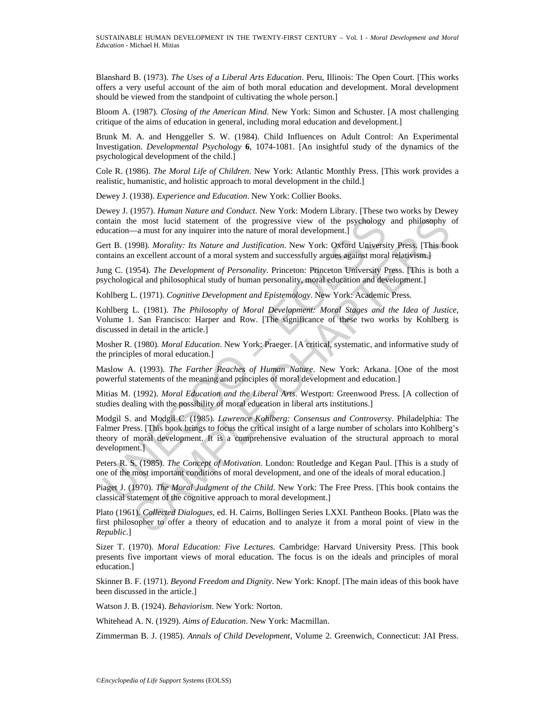Blanshard B. (1973). *The Uses of a Liberal Arts Education*. Peru, Illinois: The Open Court. [This works offers a very useful account of the aim of both moral education and development. Moral development should be viewed from the standpoint of cultivating the whole person.]

Bloom A. (1987). *Closing of the American Mind*. New York: Simon and Schuster. [A most challenging critique of the aims of education in general, including moral education and development.]

Brunk M. A. and Henggeller S. W. (1984). Child Influences on Adult Control: An Experimental Investigation. *Developmental Psychology* **6**, 1074-1081. [An insightful study of the dynamics of the psychological development of the child.]

Cole R. (1986). *The Moral Life of Children*. New York: Atlantic Monthly Press. [This work provides a realistic, humanistic, and holistic approach to moral development in the child.]

Dewey J. (1938). *Experience and Education*. New York: Collier Books.

Dewey J. (1957). *Human Nature and Conduct*. New York: Modern Library. [These two works by Dewey contain the most lucid statement of the progressive view of the psychology and philosophy of education—a must for any inquirer into the nature of moral development.]

Gert B. (1998). *Morality: Its Nature and Justification*. New York: Oxford University Press. [This book contains an excellent account of a moral system and successfully argues against moral relativism.]

Jung C. (1954). *The Development of Personality*. Princeton: Princeton University Press. [This is both a psychological and philosophical study of human personality, moral education and development.]

Kohlberg L. (1971). *Cognitive Development and Epistemology*. New York: Academic Press.

Kohlberg L. (1981). *The Philosophy of Moral Development: Moral Stages and the Idea of Justice*, Volume 1. San Francisco: Harper and Row. [The significance of these two works by Kohlberg is discussed in detail in the article.]

Mosher R. (1980). *Moral Education*. New York: Praeger. [A critical, systematic, and informative study of the principles of moral education.]

Maslow A. (1993). *The Farther Reaches of Human Nature*. New York: Arkana. [One of the most powerful statements of the meaning and principles of moral development and education.]

Mitias M. (1992). *Moral Education and the Liberal Arts*. Westport: Greenwood Press. [A collection of studies dealing with the possibility of moral education in liberal arts institutions.]

ontain the most lucid statement of the progressive view of the psychology<br>lucation—a must for any inquirer into the nature of moral development.]<br>ere R. (1998). *Morality: IR Nature and Justification*. New York: Oxford Uni ie most lucid statement of the progressive view of the psychology and philosophy  $-4$  must for any inquirer into the nature of moral development.]<br>
998) *Morality: Its Nature and Justification*. New York: Oxford Universit Modgil S. and Modgil C. (1985). *Lawrence Kohlberg: Consensus and Controversy*. Philadelphia: The Falmer Press. [This book brings to focus the critical insight of a large number of scholars into Kohlberg's theory of moral development. It is a comprehensive evaluation of the structural approach to moral development.]

Peters R. S. (1985). *The Concept of Motivation*. London: Routledge and Kegan Paul. [This is a study of one of the most important conditions of moral development, and one of the ideals of moral education.]

Piaget J. (1970). *The Moral Judgment of the Child*. New York: The Free Press. [This book contains the classical statement of the cognitive approach to moral development.]

Plato (1961). *Collected Dialogues*, ed. H. Cairns, Bollingen Series LXXI. Pantheon Books. [Plato was the first philosopher to offer a theory of education and to analyze it from a moral point of view in the *Republic*.]

Sizer T. (1970). *Moral Education: Five Lectures*. Cambridge: Harvard University Press. [This book presents five important views of moral education. The focus is on the ideals and principles of moral education.]

Skinner B. F. (1971). *Beyond Freedom and Dignity*. New York: Knopf. [The main ideas of this book have been discussed in the article.]

Watson J. B. (1924). *Behaviorism*. New York: Norton.

Whitehead A. N. (1929). *Aims of Education*. New York: Macmillan.

Zimmerman B. J. (1985). *Annals of Child Development*, Volume 2. Greenwich, Connecticut: JAI Press.